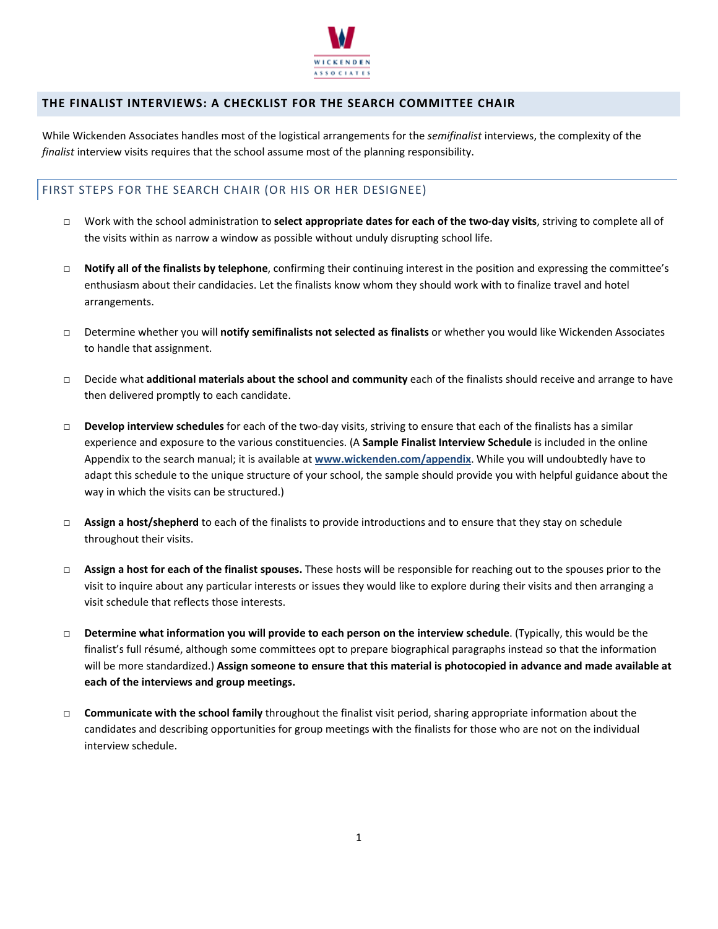

## **THE FINALIST INTERVIEWS: A CHECKLIST FOR THE SEARCH COMMITTEE CHAIR**

While Wickenden Associates handles most of the logistical arrangements for the *semifinalist* interviews, the complexity of the *finalist* interview visits requires that the school assume most of the planning responsibility.

## FIRST STEPS FOR THE SEARCH CHAIR (OR HIS OR HER DESIGNEE)

- □ Work with the school administration to **select appropriate dates for each of the two‐day visits**, striving to complete all of the visits within as narrow a window as possible without unduly disrupting school life.
- □ **Notify all of the finalists by telephone**, confirming their continuing interest in the position and expressing the committee's enthusiasm about their candidacies. Let the finalists know whom they should work with to finalize travel and hotel arrangements.
- □ Determine whether you will **notify semifinalists not selected as finalists** or whether you would like Wickenden Associates to handle that assignment.
- □ Decide what **additional materials about the school and community** each of the finalists should receive and arrange to have then delivered promptly to each candidate.
- □ **Develop interview schedules** for each of the two‐day visits, striving to ensure that each of the finalists has a similar experience and exposure to the various constituencies. (A **Sample Finalist Interview Schedule** is included in the online Appendix to the search manual; it is available at **www.wickenden.com/appendix**. While you will undoubtedly have to adapt this schedule to the unique structure of your school, the sample should provide you with helpful guidance about the way in which the visits can be structured.)
- □ **Assign a host/shepherd** to each of the finalists to provide introductions and to ensure that they stay on schedule throughout their visits.
- □ **Assign a host for each of the finalist spouses.** These hosts will be responsible for reaching out to the spouses prior to the visit to inquire about any particular interests or issues they would like to explore during their visits and then arranging a visit schedule that reflects those interests.
- □ **Determine what information you will provide to each person on the interview schedule**. (Typically, this would be the finalist's full résumé, although some committees opt to prepare biographical paragraphs instead so that the information will be more standardized.) **Assign someone to ensure that this material is photocopied in advance and made available at each of the interviews and group meetings.**
- □ **Communicate with the school family** throughout the finalist visit period, sharing appropriate information about the candidates and describing opportunities for group meetings with the finalists for those who are not on the individual interview schedule.